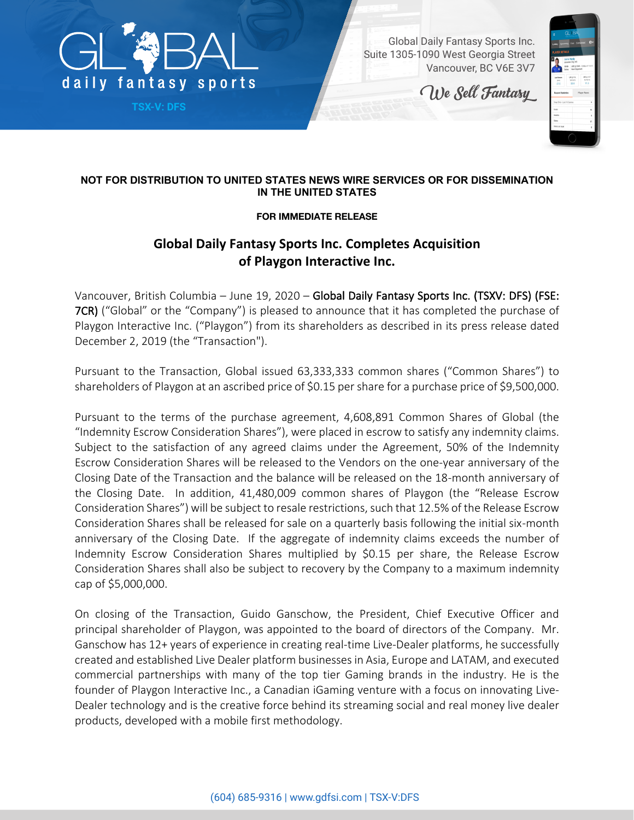

**TSX-V: DFS**

Global Daily Fantasy Sports Inc. Suite 1305-1090 West Georgia Street Vancouver, BC V6E 3V7

We Sell Fantasy



## **NOT FOR DISTRIBUTION TO UNITED STATES NEWS WIRE SERVICES OR FOR DISSEMINATION IN THE UNITED STATES**

# **FOR IMMEDIATE RELEASE**

# **Global Daily Fantasy Sports Inc. Completes Acquisition of Playgon Interactive Inc.**

Vancouver, British Columbia – June 19, 2020 – Global Daily Fantasy Sports Inc. (TSXV: DFS) (FSE: 7CR) ("Global" or the "Company") is pleased to announce that it has completed the purchase of Playgon Interactive Inc. ("Playgon") from its shareholders as described in its press release dated December 2, 2019 (the "Transaction").

Pursuant to the Transaction, Global issued 63,333,333 common shares ("Common Shares") to shareholders of Playgon at an ascribed price of \$0.15 per share for a purchase price of \$9,500,000.

Pursuant to the terms of the purchase agreement, 4,608,891 Common Shares of Global (the "Indemnity Escrow Consideration Shares"), were placed in escrow to satisfy any indemnity claims. Subject to the satisfaction of any agreed claims under the Agreement, 50% of the Indemnity Escrow Consideration Shares will be released to the Vendors on the one-year anniversary of the Closing Date of the Transaction and the balance will be released on the 18-month anniversary of the Closing Date. In addition, 41,480,009 common shares of Playgon (the "Release Escrow Consideration Shares") will be subject to resale restrictions, such that 12.5% of the Release Escrow Consideration Shares shall be released for sale on a quarterly basis following the initial six-month anniversary of the Closing Date. If the aggregate of indemnity claims exceeds the number of Indemnity Escrow Consideration Shares multiplied by \$0.15 per share, the Release Escrow Consideration Shares shall also be subject to recovery by the Company to a maximum indemnity cap of \$5,000,000.

On closing of the Transaction, Guido Ganschow, the President, Chief Executive Officer and principal shareholder of Playgon, was appointed to the board of directors of the Company. Mr. Ganschow has 12+ years of experience in creating real-time Live-Dealer platforms, he successfully created and established Live Dealer platform businesses in Asia, Europe and LATAM, and executed commercial partnerships with many of the top tier Gaming brands in the industry. He is the founder of Playgon Interactive Inc., a Canadian iGaming venture with a focus on innovating Live-Dealer technology and is the creative force behind its streaming social and real money live dealer products, developed with a mobile first methodology.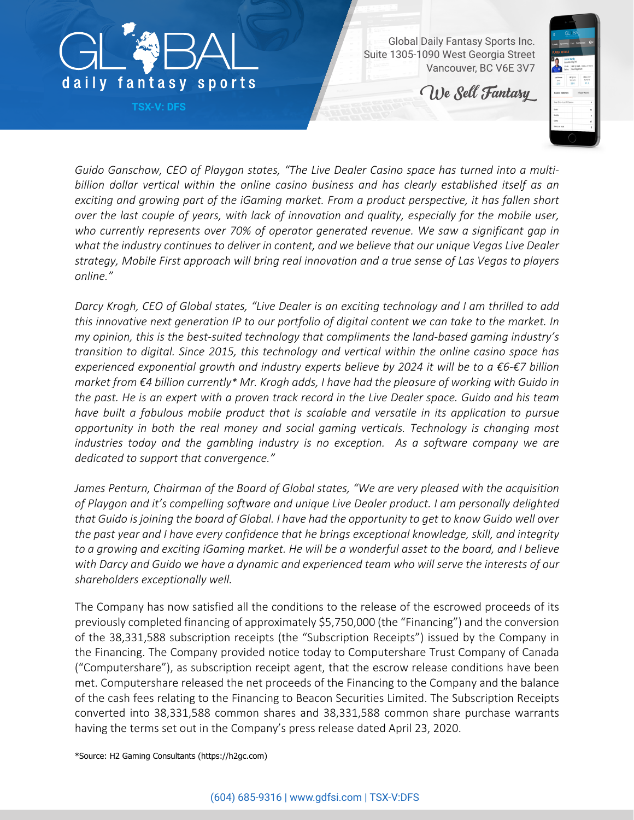

**TSX-V: DFS**

Global Daily Fantasy Sports Inc. Suite 1305-1090 West Georgia Street Vancouver, BC V6E 3V7

We Sell Fantasy



*Guido Ganschow, CEO of Playgon states, "The Live Dealer Casino space has turned into a multibillion dollar vertical within the online casino business and has clearly established itself as an exciting and growing part of the iGaming market. From a product perspective, it has fallen short over the last couple of years, with lack of innovation and quality, especially for the mobile user, who currently represents over 70% of operator generated revenue. We saw a significant gap in what the industry continues to deliver in content, and we believe that our unique Vegas Live Dealer strategy, Mobile First approach will bring real innovation and a true sense of Las Vegas to players online."*

*Darcy Krogh, CEO of Global states, "Live Dealer is an exciting technology and I am thrilled to add this innovative next generation IP to our portfolio of digital content we can take to the market. In my opinion, this is the best-suited technology that compliments the land-based gaming industry's transition to digital. Since 2015, this technology and vertical within the online casino space has experienced exponential growth and industry experts believe by 2024 it will be to a €6-€7 billion market from €4 billion currently\* Mr. Krogh adds, I have had the pleasure of working with Guido in the past. He is an expert with a proven track record in the Live Dealer space. Guido and his team have built a fabulous mobile product that is scalable and versatile in its application to pursue opportunity in both the real money and social gaming verticals. Technology is changing most industries today and the gambling industry is no exception. As a software company we are dedicated to support that convergence."*

*James Penturn, Chairman of the Board of Global states, "We are very pleased with the acquisition of Playgon and it's compelling software and unique Live Dealer product. I am personally delighted that Guido is joining the board of Global. I have had the opportunity to get to know Guido well over the past year and I have every confidence that he brings exceptional knowledge, skill, and integrity to a growing and exciting iGaming market. He will be a wonderful asset to the board, and I believe with Darcy and Guido we have a dynamic and experienced team who will serve the interests of our shareholders exceptionally well.*

The Company has now satisfied all the conditions to the release of the escrowed proceeds of its previously completed financing of approximately \$5,750,000 (the "Financing") and the conversion of the 38,331,588 subscription receipts (the "Subscription Receipts") issued by the Company in the Financing. The Company provided notice today to Computershare Trust Company of Canada ("Computershare"), as subscription receipt agent, that the escrow release conditions have been met. Computershare released the net proceeds of the Financing to the Company and the balance of the cash fees relating to the Financing to Beacon Securities Limited. The Subscription Receipts converted into 38,331,588 common shares and 38,331,588 common share purchase warrants having the terms set out in the Company's press release dated April 23, 2020.

\*Source: H2 Gaming Consultants (https://h2gc.com)